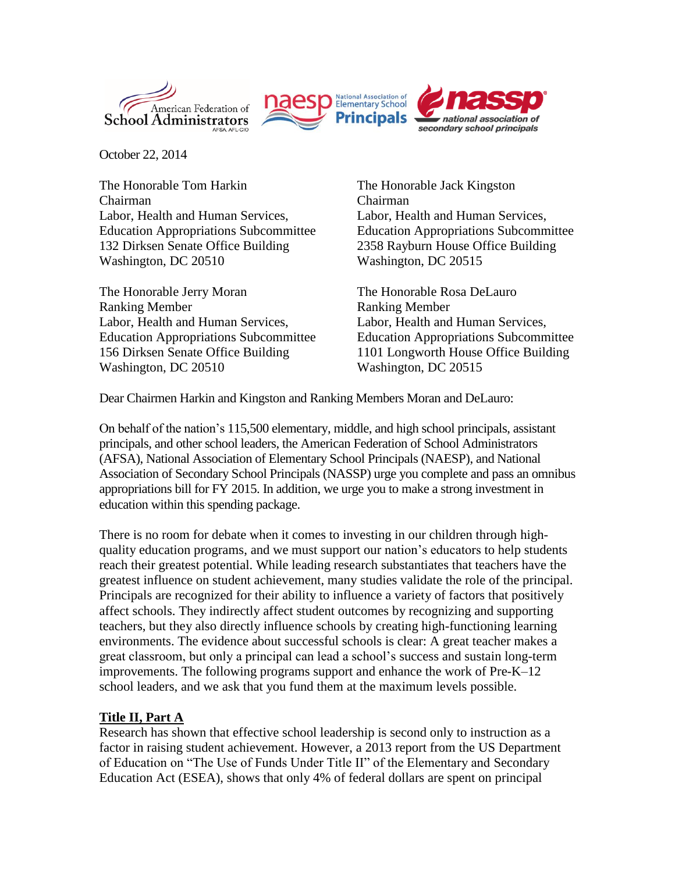



October 22, 2014

The Honorable Tom Harkin Chairman Labor, Health and Human Services, Education Appropriations Subcommittee 132 Dirksen Senate Office Building Washington, DC 20510

The Honorable Jerry Moran Ranking Member Labor, Health and Human Services, Education Appropriations Subcommittee 156 Dirksen Senate Office Building Washington, DC 20510

The Honorable Jack Kingston Chairman Labor, Health and Human Services, Education Appropriations Subcommittee 2358 Rayburn House Office Building Washington, DC 20515

The Honorable Rosa DeLauro Ranking Member Labor, Health and Human Services, Education Appropriations Subcommittee 1101 Longworth House Office Building Washington, DC 20515

Dear Chairmen Harkin and Kingston and Ranking Members Moran and DeLauro:

On behalf of the nation's 115,500 elementary, middle, and high school principals, assistant principals, and other school leaders, the American Federation of School Administrators (AFSA), National Association of Elementary School Principals (NAESP), and National Association of Secondary School Principals (NASSP) urge you complete and pass an omnibus appropriations bill for FY 2015. In addition, we urge you to make a strong investment in education within this spending package.

There is no room for debate when it comes to investing in our children through highquality education programs, and we must support our nation's educators to help students reach their greatest potential. While leading research substantiates that teachers have the greatest influence on student achievement, many studies validate the role of the principal. Principals are recognized for their ability to influence a variety of factors that positively affect schools. They indirectly affect student outcomes by recognizing and supporting teachers, but they also directly influence schools by creating high-functioning learning environments. The evidence about successful schools is clear: A great teacher makes a great classroom, but only a principal can lead a school's success and sustain long-term improvements. The following programs support and enhance the work of Pre-K–12 school leaders, and we ask that you fund them at the maximum levels possible.

#### **Title II, Part A**

Research has shown that effective school leadership is second only to instruction as a factor in raising student achievement. However, a 2013 report from the US Department of Education on "The Use of Funds Under Title II" of the Elementary and Secondary Education Act (ESEA), shows that only 4% of federal dollars are spent on principal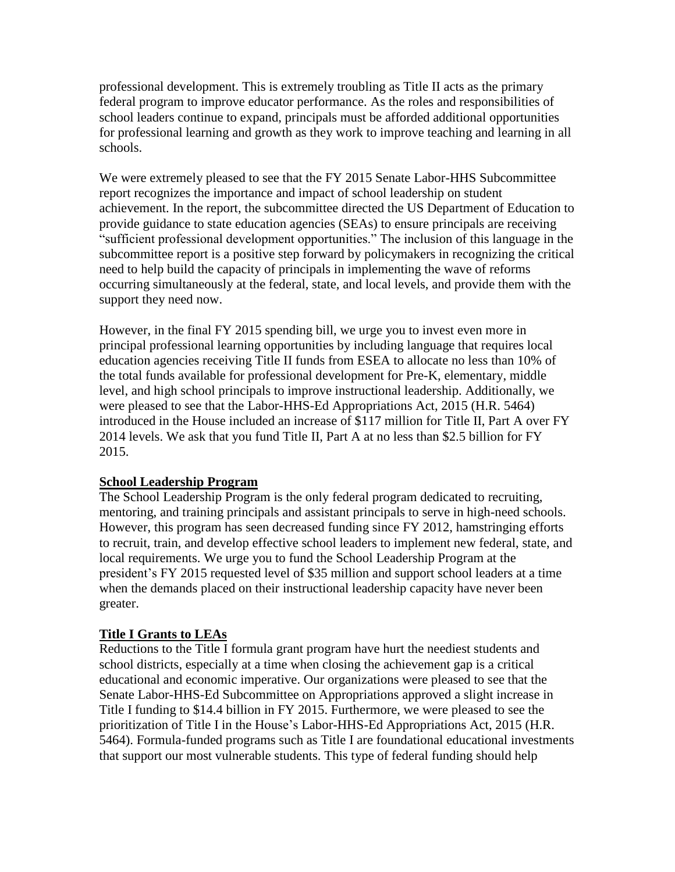professional development. This is extremely troubling as Title II acts as the primary federal program to improve educator performance. As the roles and responsibilities of school leaders continue to expand, principals must be afforded additional opportunities for professional learning and growth as they work to improve teaching and learning in all schools.

We were extremely pleased to see that the FY 2015 Senate Labor-HHS Subcommittee report recognizes the importance and impact of school leadership on student achievement. In the report, the subcommittee directed the US Department of Education to provide guidance to state education agencies (SEAs) to ensure principals are receiving "sufficient professional development opportunities." The inclusion of this language in the subcommittee report is a positive step forward by policymakers in recognizing the critical need to help build the capacity of principals in implementing the wave of reforms occurring simultaneously at the federal, state, and local levels, and provide them with the support they need now.

However, in the final FY 2015 spending bill, we urge you to invest even more in principal professional learning opportunities by including language that requires local education agencies receiving Title II funds from ESEA to allocate no less than 10% of the total funds available for professional development for Pre-K, elementary, middle level, and high school principals to improve instructional leadership. Additionally, we were pleased to see that the Labor-HHS-Ed Appropriations Act, 2015 (H.R. 5464) introduced in the House included an increase of \$117 million for Title II, Part A over FY 2014 levels. We ask that you fund Title II, Part A at no less than \$2.5 billion for FY 2015.

# **School Leadership Program**

The School Leadership Program is the only federal program dedicated to recruiting, mentoring, and training principals and assistant principals to serve in high-need schools. However, this program has seen decreased funding since FY 2012, hamstringing efforts to recruit, train, and develop effective school leaders to implement new federal, state, and local requirements. We urge you to fund the School Leadership Program at the president's FY 2015 requested level of \$35 million and support school leaders at a time when the demands placed on their instructional leadership capacity have never been greater.

# **Title I Grants to LEAs**

Reductions to the Title I formula grant program have hurt the neediest students and school districts, especially at a time when closing the achievement gap is a critical educational and economic imperative. Our organizations were pleased to see that the Senate Labor-HHS-Ed Subcommittee on Appropriations approved a slight increase in Title I funding to \$14.4 billion in FY 2015. Furthermore, we were pleased to see the prioritization of Title I in the House's Labor-HHS-Ed Appropriations Act, 2015 (H.R. 5464). Formula-funded programs such as Title I are foundational educational investments that support our most vulnerable students. This type of federal funding should help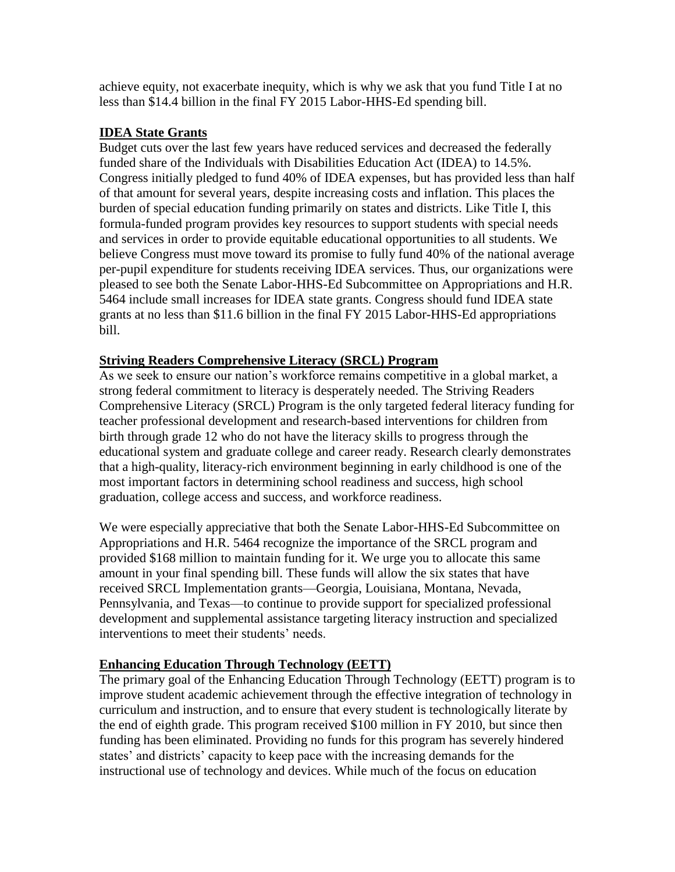achieve equity, not exacerbate inequity, which is why we ask that you fund Title I at no less than \$14.4 billion in the final FY 2015 Labor-HHS-Ed spending bill.

### **IDEA State Grants**

Budget cuts over the last few years have reduced services and decreased the federally funded share of the Individuals with Disabilities Education Act (IDEA) to 14.5%. Congress initially pledged to fund 40% of IDEA expenses, but has provided less than half of that amount for several years, despite increasing costs and inflation. This places the burden of special education funding primarily on states and districts. Like Title I, this formula-funded program provides key resources to support students with special needs and services in order to provide equitable educational opportunities to all students. We believe Congress must move toward its promise to fully fund 40% of the national average per-pupil expenditure for students receiving IDEA services. Thus, our organizations were pleased to see both the Senate Labor-HHS-Ed Subcommittee on Appropriations and H.R. 5464 include small increases for IDEA state grants. Congress should fund IDEA state grants at no less than \$11.6 billion in the final FY 2015 Labor-HHS-Ed appropriations bill.

### **Striving Readers Comprehensive Literacy (SRCL) Program**

As we seek to ensure our nation's workforce remains competitive in a global market, a strong federal commitment to literacy is desperately needed. The Striving Readers Comprehensive Literacy (SRCL) Program is the only targeted federal literacy funding for teacher professional development and research-based interventions for children from birth through grade 12 who do not have the literacy skills to progress through the educational system and graduate college and career ready. Research clearly demonstrates that a high-quality, literacy-rich environment beginning in early childhood is one of the most important factors in determining school readiness and success, high school graduation, college access and success, and workforce readiness.

We were especially appreciative that both the Senate Labor-HHS-Ed Subcommittee on Appropriations and H.R. 5464 recognize the importance of the SRCL program and provided \$168 million to maintain funding for it. We urge you to allocate this same amount in your final spending bill. These funds will allow the six states that have received SRCL Implementation grants—Georgia, Louisiana, Montana, Nevada, Pennsylvania, and Texas—to continue to provide support for specialized professional development and supplemental assistance targeting literacy instruction and specialized interventions to meet their students' needs.

# **Enhancing Education Through Technology (EETT)**

The primary goal of the Enhancing Education Through Technology (EETT) program is to improve student academic achievement through the effective integration of technology in curriculum and instruction, and to ensure that every student is technologically literate by the end of eighth grade. This program received \$100 million in FY 2010, but since then funding has been eliminated. Providing no funds for this program has severely hindered states' and districts' capacity to keep pace with the increasing demands for the instructional use of technology and devices. While much of the focus on education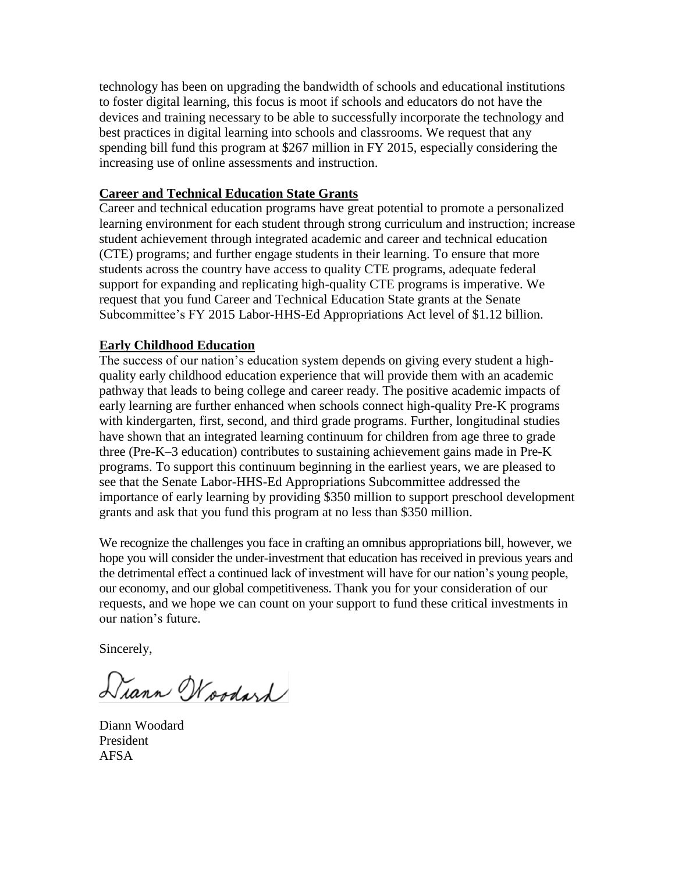technology has been on upgrading the bandwidth of schools and educational institutions to foster digital learning, this focus is moot if schools and educators do not have the devices and training necessary to be able to successfully incorporate the technology and best practices in digital learning into schools and classrooms. We request that any spending bill fund this program at \$267 million in FY 2015, especially considering the increasing use of online assessments and instruction.

#### **Career and Technical Education State Grants**

Career and technical education programs have great potential to promote a personalized learning environment for each student through strong curriculum and instruction; increase student achievement through integrated academic and career and technical education (CTE) programs; and further engage students in their learning. To ensure that more students across the country have access to quality CTE programs, adequate federal support for expanding and replicating high-quality CTE programs is imperative. We request that you fund Career and Technical Education State grants at the Senate Subcommittee's FY 2015 Labor-HHS-Ed Appropriations Act level of \$1.12 billion.

### **Early Childhood Education**

The success of our nation's education system depends on giving every student a highquality early childhood education experience that will provide them with an academic pathway that leads to being college and career ready. The positive academic impacts of early learning are further enhanced when schools connect high-quality Pre-K programs with kindergarten, first, second, and third grade programs. Further, longitudinal studies have shown that an integrated learning continuum for children from age three to grade three (Pre-K–3 education) contributes to sustaining achievement gains made in Pre-K programs. To support this continuum beginning in the earliest years, we are pleased to see that the Senate Labor-HHS-Ed Appropriations Subcommittee addressed the importance of early learning by providing \$350 million to support preschool development grants and ask that you fund this program at no less than \$350 million.

We recognize the challenges you face in crafting an omnibus appropriations bill, however, we hope you will consider the under-investment that education has received in previous years and the detrimental effect a continued lack of investment will have for our nation's young people, our economy, and our global competitiveness. Thank you for your consideration of our requests, and we hope we can count on your support to fund these critical investments in our nation's future.

Sincerely,

Diann Woodard

Diann Woodard President AFSA